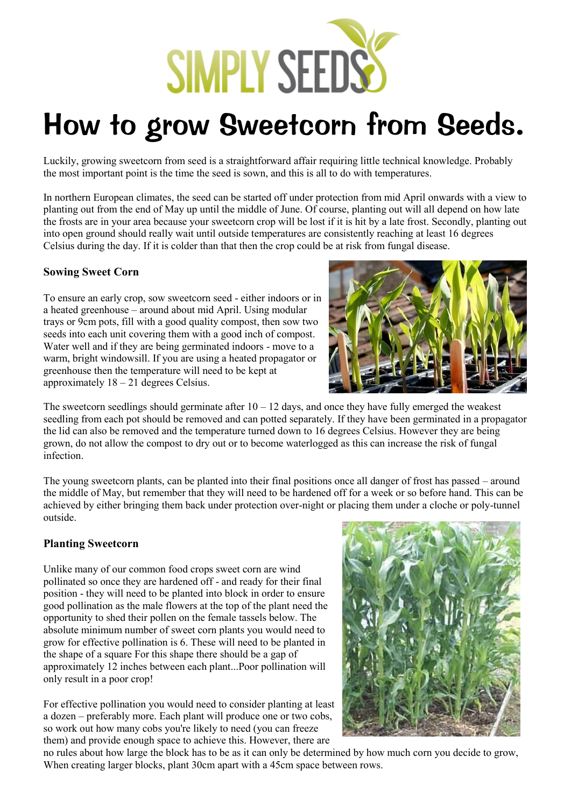

## How to grow Sweetcorn from Seeds.

Luckily, growing sweetcorn from seed is a straightforward affair requiring little technical knowledge. Probably the most important point is the time the seed is sown, and this is all to do with temperatures.

In northern European climates, the seed can be started off under protection from mid April onwards with a view to planting out from the end of May up until the middle of June. Of course, planting out will all depend on how late the frosts are in your area because your sweetcorn crop will be lost if it is hit by a late frost. Secondly, planting out into open ground should really wait until outside temperatures are consistently reaching at least 16 degrees Celsius during the day. If it is colder than that then the crop could be at risk from fungal disease.

## **Sowing Sweet Corn**

To ensure an early crop, sow sweetcorn seed - either indoors or in a heated greenhouse – around about mid April. Using modular trays or 9cm pots, fill with a good quality compost, then sow two seeds into each unit covering them with a good inch of compost. Water well and if they are being germinated indoors - move to a warm, bright windowsill. If you are using a heated propagator or greenhouse then the temperature will need to be kept at approximately 18 – 21 degrees Celsius.



The sweetcorn seedlings should germinate after  $10 - 12$  days, and once they have fully emerged the weakest seedling from each pot should be removed and can potted separately. If they have been germinated in a propagator the lid can also be removed and the temperature turned down to 16 degrees Celsius. However they are being grown, do not allow the compost to dry out or to become waterlogged as this can increase the risk of fungal infection.

The young sweetcorn plants, can be planted into their final positions once all danger of frost has passed – around the middle of May, but remember that they will need to be hardened off for a week or so before hand. This can be achieved by either bringing them back under protection over-night or placing them under a cloche or poly-tunnel outside.

## **Planting Sweetcorn**

Unlike many of our common food crops sweet corn are wind pollinated so once they are hardened off - and ready for their final position - they will need to be planted into block in order to ensure good pollination as the male flowers at the top of the plant need the opportunity to shed their pollen on the female tassels below. The absolute minimum number of sweet corn plants you would need to grow for effective pollination is 6. These will need to be planted in the shape of a square For this shape there should be a gap of approximately 12 inches between each plant...Poor pollination will only result in a poor crop!

For effective pollination you would need to consider planting at least a dozen – preferably more. Each plant will produce one or two cobs, so work out how many cobs you're likely to need (you can freeze them) and provide enough space to achieve this. However, there are



no rules about how large the block has to be as it can only be determined by how much corn you decide to grow, When creating larger blocks, plant 30cm apart with a 45cm space between rows.